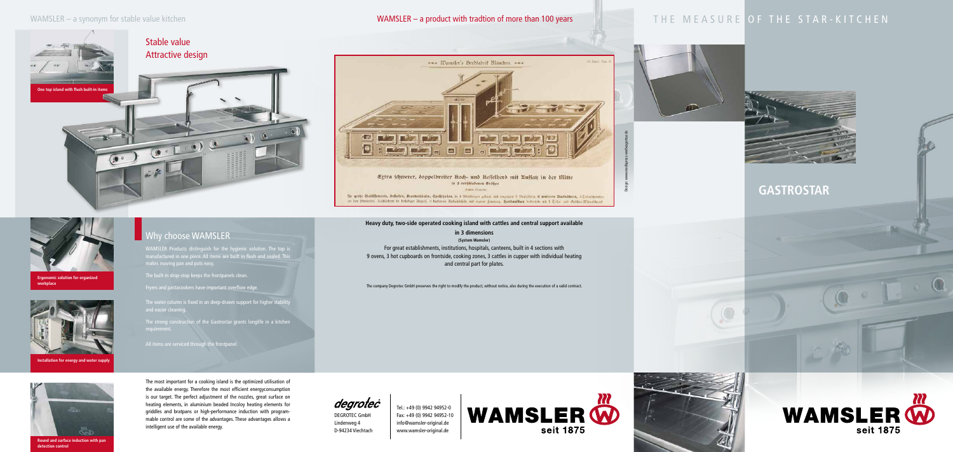**GASTROSTAR**







DEGROTEC GmbH Lindenweg 4 D-94234 Viechtach

Tel.: +49 (0) 9942 94952-0 Fax: +49 (0) 9942 94952-10 info@wamsler-original.de www.wamsler-original.de



ess Wamsler's Derofabrif München. ess  $191$ **CONTROLLED BUT**  $\sqrt{\bullet}$  $\Box$ oi **Bally Avenue Read Address** 

Ertra schwerer, doppelbreiter Roch- und Resselherd mit Auffatz in der Mitte in 3 verschiedenen Größen Februa Wana

für große Etabliffements, Anftatten, Rranhenhäufer, Gpeifehallen, in 4 Albeilungen gebaut, mit insgefannt 9 Brandbren, 6 unteren Badrobren, 3 Teilerichranten in den Stienfolten, Kochlöchern in beliebiger Ungabl. 3 turfernen Auffanteffeln mit eigener feuerung. Herdaufbau beiderfeits mit 1 Celler und Gefchir: Marmichrant

The company Degrotec GmbH preserves the right to modify the product, without notice, also during the execution of a valid contract.

### **Heavy duty, two-side operated cooking island with cattles and central support available**

**in 3 dimensions (System Wamsler)** For great establishments, institutions, hospitals, canteens, built in 4 sections with 9 ovens, 3 hot cupboards on frontside, cooking zones, 3 cattles in cupper with individual heating and central part for plates.

Design: www.medispress-werbeagentur.de



# Why choose WAMSLER

## WAMSLER – a synonym for stable value kitchen

WAMSLER Products distinguish for the hygienic solution. The top is nanufactured in one piece. All items are built in flush and sealed. This makes moving pan and pots easy.

The built-in drop-stop keeps the frontpanels clean.

Fryers and pastacookers have important overflow edge.

The water column is fixed in an deep-drawn support for higher stability and easier cleaning.

The strong construction of the Gastrostar grants longlife in a kitchen

All items are serviced through the frontpanel.

The most important for a cooking island is the optimized utilisation of the available energy. Therefore the most efficient energyconsumption is our target. The perfect adjustment of the nozzles, great surface on heating elements, in aluminium beaded Incoloy heating elements for griddles and bratpans or high-performance induction with programmable control are some of the advantages. These advantages allows a intelligent use of the available energy.

degrotec



**Ergonomic solution for organized workplace**



**Installation for energy and water supply**





**Round and surface induction with pan detection control**

## WAMSLER – a product with tradtion of more than 100 years

# THE MEASURE OF THE STAR-KITCHEN

- 
- 

 $\sim$ 

 $\frac{1}{2}$ 

**THE REAL PROPERTY**